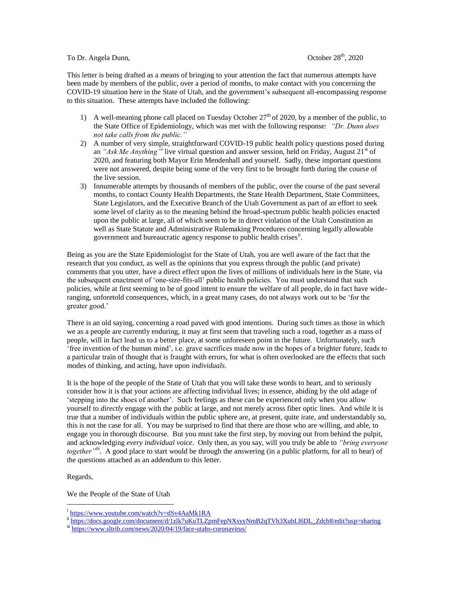## To Dr. Angela Dunn, Corober 28<sup>th</sup>, 2020

This letter is being drafted as a means of bringing to your attention the fact that numerous attempts have been made by members of the public, over a period of months, to make contact with you concerning the COVID-19 situation here in the State of Utah, and the government's subsequent all-encompassing response to this situation. These attempts have included the following:

- 1) A well-meaning phone call placed on Tuesday October  $27<sup>th</sup>$  of 2020, by a member of the public, to the State Office of Epidemiology, which was met with the following response: *"Dr. Dunn does not take calls from the public."*
- 2) A number of very simple, straightforward COVID-19 public health policy questions posed during an "Ask Me Anything<sup>"</sup> live virtual question and answer session, held on Friday, August 21<sup>st</sup> of 2020, and featuring both Mayor Erin Mendenhall and yourself. Sadly, these important questions were not answered, despite being some of the very first to be brought forth during the course of the live session.
- 3) Innumerable attempts by thousands of members of the public, over the course of the past several months, to contact County Health Departments, the State Health Department, State Committees, State Legislators, and the Executive Branch of the Utah Government as part of an effort to seek some level of clarity as to the meaning behind the broad-spectrum public health policies enacted upon the public at large, all of which seem to be in direct violation of the Utah Constitution as well as State Statute and Administrative Rulemaking Procedures concerning legally allowable government and bureaucratic agency response to public health crises<sup>ii</sup>.

Being as you are the State Epidemiologist for the State of Utah, you are well aware of the fact that the research that you conduct, as well as the opinions that you express through the public (and private) comments that you utter, have a direct effect upon the lives of millions of individuals here in the State, via the subsequent enactment of 'one-size-fits-all' public health policies. You must understand that such policies, while at first seeming to be of good intent to ensure the welfare of all people, do in fact have wideranging, unforetold consequences, which, in a great many cases, do not always work out to be 'for the greater good.'

There is an old saying, concerning a road paved with good intentions. During such times as those in which we as a people are currently enduring, it may at first seem that traveling such a road, together as a mass of people, will in fact lead us to a better place, at some unforeseen point in the future. Unfortunately, such 'free invention of the human mind', i.e. grave sacrifices made now in the hopes of a brighter future, leads to a particular train of thought that is fraught with errors, for what is often overlooked are the effects that such modes of thinking, and acting, have upon *individuals*.

It is the hope of the people of the State of Utah that you will take these words to heart, and to seriously consider how it is that your actions are affecting individual lives; in essence, abiding by the old adage of 'stepping into the shoes of another'. Such feelings as these can be experienced only when you allow yourself to *directly* engage with the public at large, and not merely across fiber optic lines. And while it is true that a number of individuals within the public sphere are, at present, quite irate, and understandably so, this is not the case for all. You may be surprised to find that there are those who are willing, and able, to engage you in thorough discourse. But you must take the first step, by moving out from behind the pulpit, and acknowledging *every individual voice*. Only then, as you say, will you truly be able to *"bring everyone together"iii .* A good place to start would be through the answering (in a public platform, for all to hear) of the questions attached as an addendum to this letter.

Regards,

 $\overline{a}$ 

We the People of the State of Utah

<sup>&</sup>lt;sup>i</sup> <https://www.youtube.com/watch?v=dSv4AaMk1RA>

ii [https://docs.google.com/document/d/1zlk7uKuTLZpmFepNXsyyNmB2qTVh3XubLl6DL\\_Zdch8/edit?usp=sharing](https://docs.google.com/document/d/1zlk7uKuTLZpmFepNXsyyNmB2qTVh3XubLl6DL_Zdch8/edit?usp=sharing)

iii <https://www.sltrib.com/news/2020/04/19/face-utahs-coronavirus/>